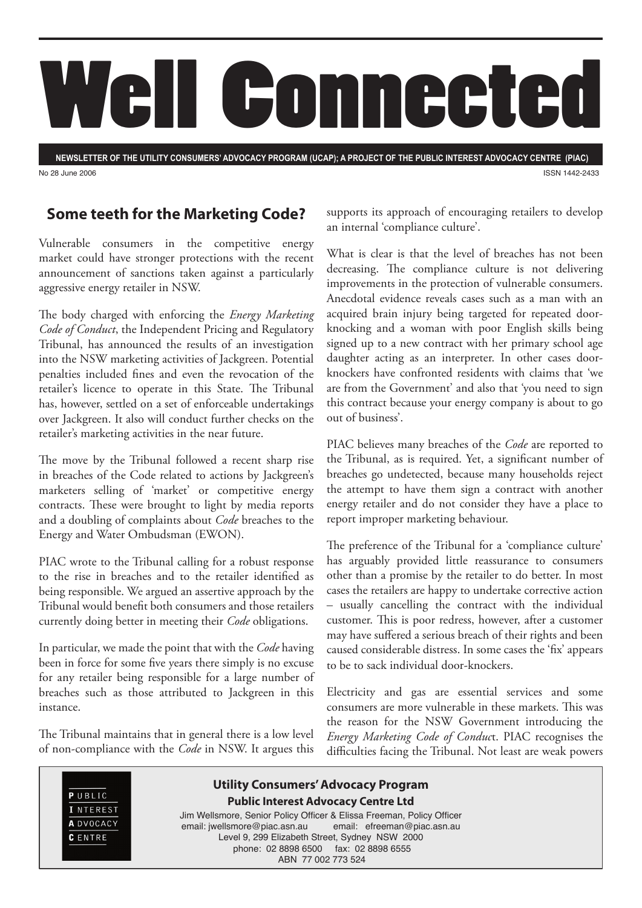

**NEWSLETTER OF THE UTILITY CONSUMERS' ADVOCACY PROGRAM (UCAP); A PROJECT OF THE PUBLIC INTEREST ADVOCACY CENTRE (PIAC)** No 28 June 2006 ISSN 1442-2433

### **Some teeth for the Marketing Code?**

Vulnerable consumers in the competitive energy market could have stronger protections with the recent announcement of sanctions taken against a particularly aggressive energy retailer in NSW.

The body charged with enforcing the *Energy Marketing Code of Conduct*, the Independent Pricing and Regulatory Tribunal, has announced the results of an investigation into the NSW marketing activities of Jackgreen. Potential penalties included fines and even the revocation of the retailer's licence to operate in this State. The Tribunal has, however, settled on a set of enforceable undertakings over Jackgreen. It also will conduct further checks on the retailer's marketing activities in the near future.

The move by the Tribunal followed a recent sharp rise in breaches of the Code related to actions by Jackgreen's marketers selling of 'market' or competitive energy contracts. These were brought to light by media reports and a doubling of complaints about *Code* breaches to the Energy and Water Ombudsman (EWON).

PIAC wrote to the Tribunal calling for a robust response to the rise in breaches and to the retailer identified as being responsible. We argued an assertive approach by the Tribunal would benefit both consumers and those retailers currently doing better in meeting their *Code* obligations.

In particular, we made the point that with the *Code* having been in force for some five years there simply is no excuse for any retailer being responsible for a large number of breaches such as those attributed to Jackgreen in this instance.

The Tribunal maintains that in general there is a low level of non-compliance with the *Code* in NSW. It argues this supports its approach of encouraging retailers to develop an internal 'compliance culture'.

What is clear is that the level of breaches has not been decreasing. The compliance culture is not delivering improvements in the protection of vulnerable consumers. Anecdotal evidence reveals cases such as a man with an acquired brain injury being targeted for repeated doorknocking and a woman with poor English skills being signed up to a new contract with her primary school age daughter acting as an interpreter. In other cases doorknockers have confronted residents with claims that 'we are from the Government' and also that 'you need to sign this contract because your energy company is about to go out of business'.

PIAC believes many breaches of the *Code* are reported to the Tribunal, as is required. Yet, a significant number of breaches go undetected, because many households reject the attempt to have them sign a contract with another energy retailer and do not consider they have a place to report improper marketing behaviour.

The preference of the Tribunal for a 'compliance culture' has arguably provided little reassurance to consumers other than a promise by the retailer to do better. In most cases the retailers are happy to undertake corrective action – usually cancelling the contract with the individual customer. This is poor redress, however, after a customer may have suffered a serious breach of their rights and been caused considerable distress. In some cases the 'fix' appears to be to sack individual door-knockers.

Electricity and gas are essential services and some consumers are more vulnerable in these markets. This was the reason for the NSW Government introducing the *Energy Marketing Code of Conduc*t. PIAC recognises the difficulties facing the Tribunal. Not least are weak powers

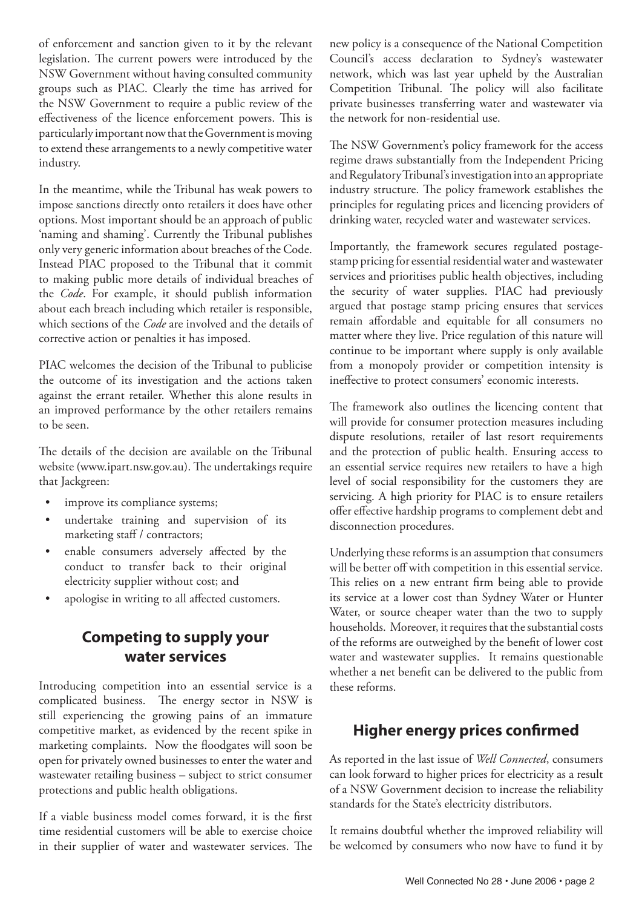of enforcement and sanction given to it by the relevant legislation. The current powers were introduced by the NSW Government without having consulted community groups such as PIAC. Clearly the time has arrived for the NSW Government to require a public review of the effectiveness of the licence enforcement powers. This is particularly important now that the Government is moving to extend these arrangements to a newly competitive water industry.

In the meantime, while the Tribunal has weak powers to impose sanctions directly onto retailers it does have other options. Most important should be an approach of public 'naming and shaming'. Currently the Tribunal publishes only very generic information about breaches of the Code. Instead PIAC proposed to the Tribunal that it commit to making public more details of individual breaches of the *Code*. For example, it should publish information about each breach including which retailer is responsible, which sections of the *Code* are involved and the details of corrective action or penalties it has imposed.

PIAC welcomes the decision of the Tribunal to publicise the outcome of its investigation and the actions taken against the errant retailer. Whether this alone results in an improved performance by the other retailers remains to be seen.

The details of the decision are available on the Tribunal website (www.ipart.nsw.gov.au). The undertakings require that Jackgreen:

- improve its compliance systems;
- undertake training and supervision of its marketing staff / contractors;
- enable consumers adversely affected by the conduct to transfer back to their original electricity supplier without cost; and
- apologise in writing to all affected customers.

## **Competing to supply your water services**

Introducing competition into an essential service is a complicated business. The energy sector in NSW is still experiencing the growing pains of an immature competitive market, as evidenced by the recent spike in marketing complaints. Now the floodgates will soon be open for privately owned businesses to enter the water and wastewater retailing business – subject to strict consumer protections and public health obligations.

If a viable business model comes forward, it is the first time residential customers will be able to exercise choice in their supplier of water and wastewater services. The new policy is a consequence of the National Competition Council's access declaration to Sydney's wastewater network, which was last year upheld by the Australian Competition Tribunal. The policy will also facilitate private businesses transferring water and wastewater via the network for non-residential use.

The NSW Government's policy framework for the access regime draws substantially from the Independent Pricing and Regulatory Tribunal's investigation into an appropriate industry structure. The policy framework establishes the principles for regulating prices and licencing providers of drinking water, recycled water and wastewater services.

Importantly, the framework secures regulated postagestamp pricing for essential residential water and wastewater services and prioritises public health objectives, including the security of water supplies. PIAC had previously argued that postage stamp pricing ensures that services remain affordable and equitable for all consumers no matter where they live. Price regulation of this nature will continue to be important where supply is only available from a monopoly provider or competition intensity is ineffective to protect consumers' economic interests.

The framework also outlines the licencing content that will provide for consumer protection measures including dispute resolutions, retailer of last resort requirements and the protection of public health. Ensuring access to an essential service requires new retailers to have a high level of social responsibility for the customers they are servicing. A high priority for PIAC is to ensure retailers offer effective hardship programs to complement debt and disconnection procedures.

Underlying these reforms is an assumption that consumers will be better off with competition in this essential service. This relies on a new entrant firm being able to provide its service at a lower cost than Sydney Water or Hunter Water, or source cheaper water than the two to supply households. Moreover, it requires that the substantial costs of the reforms are outweighed by the benefit of lower cost water and wastewater supplies. It remains questionable whether a net benefit can be delivered to the public from these reforms.

#### **Higher energy prices confirmed**

As reported in the last issue of *Well Connected*, consumers can look forward to higher prices for electricity as a result of a NSW Government decision to increase the reliability standards for the State's electricity distributors.

It remains doubtful whether the improved reliability will be welcomed by consumers who now have to fund it by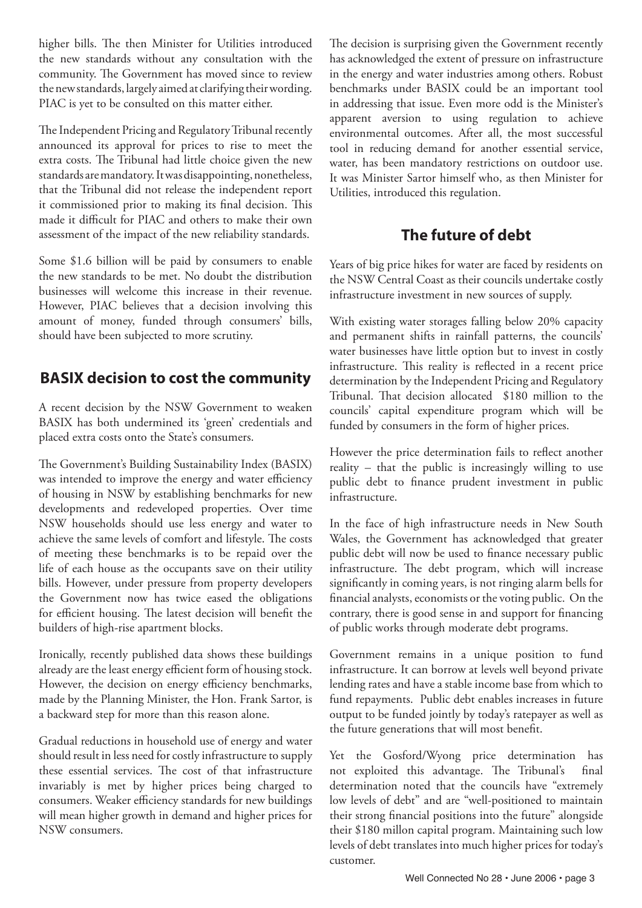higher bills. The then Minister for Utilities introduced the new standards without any consultation with the community. The Government has moved since to review the new standards, largely aimed at clarifying their wording. PIAC is yet to be consulted on this matter either.

The Independent Pricing and Regulatory Tribunal recently announced its approval for prices to rise to meet the extra costs. The Tribunal had little choice given the new standards are mandatory. It was disappointing, nonetheless, that the Tribunal did not release the independent report it commissioned prior to making its final decision. This made it difficult for PIAC and others to make their own assessment of the impact of the new reliability standards.

Some \$1.6 billion will be paid by consumers to enable the new standards to be met. No doubt the distribution businesses will welcome this increase in their revenue. However, PIAC believes that a decision involving this amount of money, funded through consumers' bills, should have been subjected to more scrutiny.

# **BASIX decision to cost the community**

A recent decision by the NSW Government to weaken BASIX has both undermined its 'green' credentials and placed extra costs onto the State's consumers.

The Government's Building Sustainability Index (BASIX) was intended to improve the energy and water efficiency of housing in NSW by establishing benchmarks for new developments and redeveloped properties. Over time NSW households should use less energy and water to achieve the same levels of comfort and lifestyle. The costs of meeting these benchmarks is to be repaid over the life of each house as the occupants save on their utility bills. However, under pressure from property developers the Government now has twice eased the obligations for efficient housing. The latest decision will benefit the builders of high-rise apartment blocks.

Ironically, recently published data shows these buildings already are the least energy efficient form of housing stock. However, the decision on energy efficiency benchmarks, made by the Planning Minister, the Hon. Frank Sartor, is a backward step for more than this reason alone.

Gradual reductions in household use of energy and water should result in less need for costly infrastructure to supply these essential services. The cost of that infrastructure invariably is met by higher prices being charged to consumers. Weaker efficiency standards for new buildings will mean higher growth in demand and higher prices for NSW consumers.

The decision is surprising given the Government recently has acknowledged the extent of pressure on infrastructure in the energy and water industries among others. Robust benchmarks under BASIX could be an important tool in addressing that issue. Even more odd is the Minister's apparent aversion to using regulation to achieve environmental outcomes. After all, the most successful tool in reducing demand for another essential service, water, has been mandatory restrictions on outdoor use. It was Minister Sartor himself who, as then Minister for Utilities, introduced this regulation.

## **The future of debt**

Years of big price hikes for water are faced by residents on the NSW Central Coast as their councils undertake costly infrastructure investment in new sources of supply.

With existing water storages falling below 20% capacity and permanent shifts in rainfall patterns, the councils' water businesses have little option but to invest in costly infrastructure. This reality is reflected in a recent price determination by the Independent Pricing and Regulatory Tribunal. That decision allocated \$180 million to the councils' capital expenditure program which will be funded by consumers in the form of higher prices.

However the price determination fails to reflect another reality – that the public is increasingly willing to use public debt to finance prudent investment in public infrastructure.

In the face of high infrastructure needs in New South Wales, the Government has acknowledged that greater public debt will now be used to finance necessary public infrastructure. The debt program, which will increase significantly in coming years, is not ringing alarm bells for financial analysts, economists or the voting public. On the contrary, there is good sense in and support for financing of public works through moderate debt programs.

Government remains in a unique position to fund infrastructure. It can borrow at levels well beyond private lending rates and have a stable income base from which to fund repayments. Public debt enables increases in future output to be funded jointly by today's ratepayer as well as the future generations that will most benefit.

Yet the Gosford/Wyong price determination has not exploited this advantage. The Tribunal's final determination noted that the councils have "extremely low levels of debt" and are "well-positioned to maintain their strong financial positions into the future" alongside their \$180 millon capital program. Maintaining such low levels of debt translates into much higher prices for today's customer.